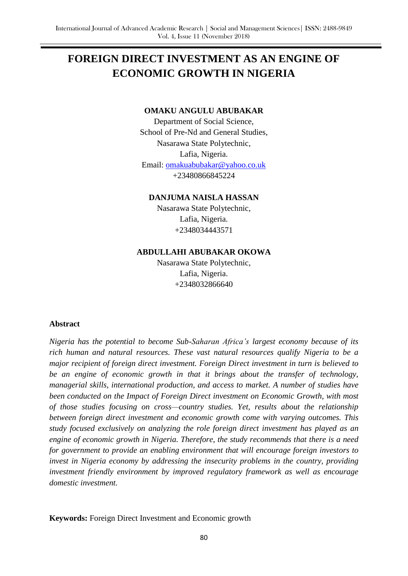# **FOREIGN DIRECT INVESTMENT AS AN ENGINE OF ECONOMIC GROWTH IN NIGERIA**

#### **OMAKU ANGULU ABUBAKAR**

Department of Social Science, School of Pre-Nd and General Studies, Nasarawa State Polytechnic, Lafia, Nigeria. Email: [omakuabubakar@yahoo.co.uk](mailto:omakuabubakar@yahoo.co.uk) +23480866845224

**DANJUMA NAISLA HASSAN**

Nasarawa State Polytechnic, Lafia, Nigeria. +2348034443571

## **ABDULLAHI ABUBAKAR OKOWA**

Nasarawa State Polytechnic, Lafia, Nigeria. +2348032866640

### **Abstract**

*Nigeria has the potential to become Sub-Saharan Africa's largest economy because of its rich human and natural resources. These vast natural resources qualify Nigeria to be a major recipient of foreign direct investment. Foreign Direct investment in turn is believed to be an engine of economic growth in that it brings about the transfer of technology, managerial skills, international production, and access to market. A number of studies have been conducted on the Impact of Foreign Direct investment on Economic Growth, with most of those studies focusing on cross—country studies. Yet, results about the relationship between foreign direct investment and economic growth come with varying outcomes. This study focused exclusively on analyzing the role foreign direct investment has played as an engine of economic growth in Nigeria. Therefore, the study recommends that there is a need for government to provide an enabling environment that will encourage foreign investors to invest in Nigeria economy by addressing the insecurity problems in the country, providing investment friendly environment by improved regulatory framework as well as encourage domestic investment.*

**Keywords:** Foreign Direct Investment and Economic growth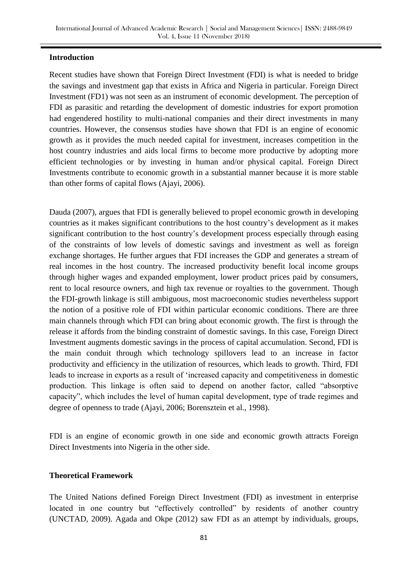## **Introduction**

Recent studies have shown that Foreign Direct Investment (FDI) is what is needed to bridge the savings and investment gap that exists in Africa and Nigeria in particular. Foreign Direct Investment (FD1) was not seen as an instrument of economic development. The perception of FDI as parasitic and retarding the development of domestic industries for export promotion had engendered hostility to multi-national companies and their direct investments in many countries. However, the consensus studies have shown that FDI is an engine of economic growth as it provides the much needed capital for investment, increases competition in the host country industries and aids local firms to become more productive by adopting more efficient technologies or by investing in human and/or physical capital. Foreign Direct Investments contribute to economic growth in a substantial manner because it is more stable than other forms of capital flows (Ajayi, 2006).

Dauda (2007), argues that FDI is generally believed to propel economic growth in developing countries as it makes significant contributions to the host country"s development as it makes significant contribution to the host country"s development process especially through easing of the constraints of low levels of domestic savings and investment as well as foreign exchange shortages. He further argues that FDI increases the GDP and generates a stream of real incomes in the host country. The increased productivity benefit local income groups through higher wages and expanded employment, lower product prices paid by consumers, rent to local resource owners, and high tax revenue or royalties to the government. Though the FDI-growth linkage is still ambiguous, most macroeconomic studies nevertheless support the notion of a positive role of FDI within particular economic conditions. There are three main channels through which FDI can bring about economic growth. The first is through the release it affords from the binding constraint of domestic savings. In this case, Foreign Direct Investment augments domestic savings in the process of capital accumulation. Second, FDI is the main conduit through which technology spillovers lead to an increase in factor productivity and efficiency in the utilization of resources, which leads to growth. Third, FDI leads to increase in exports as a result of "increased capacity and competitiveness in domestic production. This linkage is often said to depend on another factor, called "absorptive capacity", which includes the level of human capital development, type of trade regimes and degree of openness to trade (Ajayi, 2006; Borensztein et al., 1998).

FDI is an engine of economic growth in one side and economic growth attracts Foreign Direct Investments into Nigeria in the other side.

## **Theoretical Framework**

The United Nations defined Foreign Direct Investment (FDI) as investment in enterprise located in one country but "effectively controlled" by residents of another country (UNCTAD, 2009). Agada and Okpe (2012) saw FDI as an attempt by individuals, groups,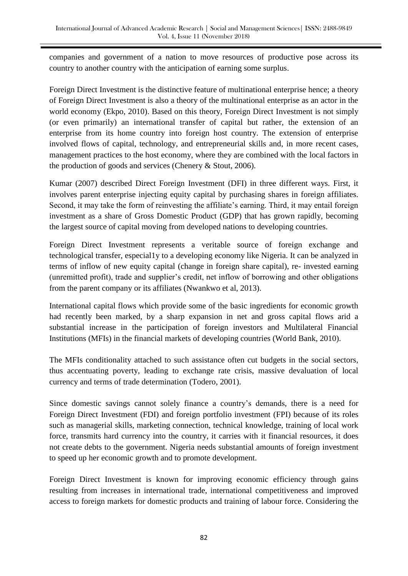companies and government of a nation to move resources of productive pose across its country to another country with the anticipation of earning some surplus.

Foreign Direct Investment is the distinctive feature of multinational enterprise hence; a theory of Foreign Direct Investment is also a theory of the multinational enterprise as an actor in the world economy (Ekpo, 2010). Based on this theory, Foreign Direct Investment is not simply (or even primarily) an international transfer of capital but rather, the extension of an enterprise from its home country into foreign host country. The extension of enterprise involved flows of capital, technology, and entrepreneurial skills and, in more recent cases, management practices to the host economy, where they are combined with the local factors in the production of goods and services (Chenery & Stout, 2006).

Kumar (2007) described Direct Foreign Investment (DFI) in three different ways. First, it involves parent enterprise injecting equity capital by purchasing shares in foreign affiliates. Second, it may take the form of reinvesting the affiliate's earning. Third, it may entail foreign investment as a share of Gross Domestic Product (GDP) that has grown rapidly, becoming the largest source of capital moving from developed nations to developing countries.

Foreign Direct Investment represents a veritable source of foreign exchange and technological transfer, especial1y to a developing economy like Nigeria. It can be analyzed in terms of inflow of new equity capital (change in foreign share capital), re- invested earning (unremitted profit), trade and supplier"s credit, net inflow of borrowing and other obligations from the parent company or its affiliates (Nwankwo et al, 2013).

International capital flows which provide some of the basic ingredients for economic growth had recently been marked, by a sharp expansion in net and gross capital flows arid a substantial increase in the participation of foreign investors and Multilateral Financial Institutions (MFIs) in the financial markets of developing countries (World Bank, 2010).

The MFIs conditionality attached to such assistance often cut budgets in the social sectors, thus accentuating poverty, leading to exchange rate crisis, massive devaluation of local currency and terms of trade determination (Todero, 2001).

Since domestic savings cannot solely finance a country"s demands, there is a need for Foreign Direct Investment (FDI) and foreign portfolio investment (FPI) because of its roles such as managerial skills, marketing connection, technical knowledge, training of local work force, transmits hard currency into the country, it carries with it financial resources, it does not create debts to the government. Nigeria needs substantial amounts of foreign investment to speed up her economic growth and to promote development.

Foreign Direct Investment is known for improving economic efficiency through gains resulting from increases in international trade, international competitiveness and improved access to foreign markets for domestic products and training of labour force. Considering the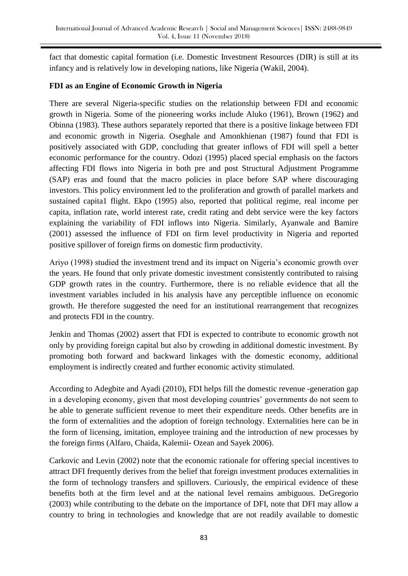fact that domestic capital formation (i.e. Domestic Investment Resources (DIR) is still at its infancy and is relatively low in developing nations, like Nigeria (Wakil, 2004).

# **FDI as an Engine of Economic Growth in Nigeria**

There are several Nigeria-specific studies on the relationship between FDI and economic growth in Nigeria. Some of the pioneering works include Aluko (1961), Brown (1962) and Obinna (1983). These authors separately reported that there is a positive linkage between FDI and economic growth in Nigeria. Oseghale and Amonkhienan (1987) found that FDI is positively associated with GDP, concluding that greater inflows of FDI will spell a better economic performance for the country. Odozi (1995) placed special emphasis on the factors affecting FDI flows into Nigeria in both pre and post Structural Adjustment Programme (SAP) eras and found that the macro policies in place before SAP where discouraging investors. This policy environment led to the proliferation and growth of parallel markets and sustained capita1 flight. Ekpo (1995) also, reported that political regime, real income per capita, inflation rate, world interest rate, credit rating and debt service were the key factors explaining the variability of FDI inflows into Nigeria. Similarly, Ayanwale and Bamire (2001) assessed the influence of FDI on firm level productivity in Nigeria and reported positive spillover of foreign firms on domestic firm productivity.

Ariyo (1998) studied the investment trend and its impact on Nigeria"s economic growth over the years. He found that only private domestic investment consistently contributed to raising GDP growth rates in the country. Furthermore, there is no reliable evidence that all the investment variables included in his analysis have any perceptible influence on economic growth. He therefore suggested the need for an institutional rearrangement that recognizes and protects FDI in the country.

Jenkin and Thomas (2002) assert that FDI is expected to contribute to economic growth not only by providing foreign capital but also by crowding in additional domestic investment. By promoting both forward and backward linkages with the domestic economy, additional employment is indirectly created and further economic activity stimulated.

According to Adegbite and Ayadi (2010), FDI helps fill the domestic revenue -generation gap in a developing economy, given that most developing countries" governments do not seem to be able to generate sufficient revenue to meet their expenditure needs. Other benefits are in the form of externalities and the adoption of foreign technology. Externalities here can be in the form of licensing, imitation, employee training and the introduction of new processes by the foreign firms (Alfaro, Chaida, Kalemii- Ozean and Sayek 2006).

Carkovic and Levin (2002) note that the economic rationale for offering special incentives to attract DFI frequently derives from the belief that foreign investment produces externalities in the form of technology transfers and spillovers. Curiously, the empirical evidence of these benefits both at the firm level and at the national level remains ambiguous. DeGregorio (2003) while contributing to the debate on the importance of DFI, note that DFI may allow a country to bring in technologies and knowledge that are not readily available to domestic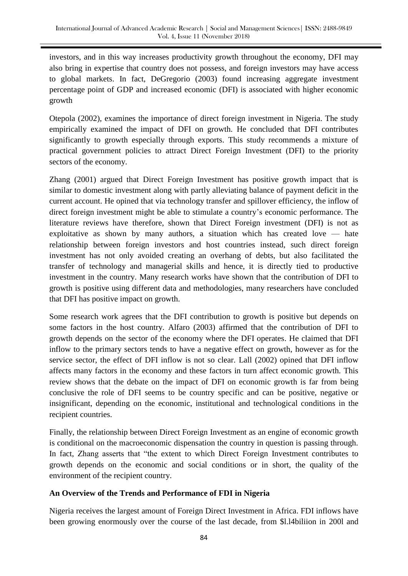investors, and in this way increases productivity growth throughout the economy, DFI may also bring in expertise that country does not possess, and foreign investors may have access to global markets. In fact, DeGregorio (2003) found increasing aggregate investment percentage point of GDP and increased economic (DFI) is associated with higher economic growth

Otepola (2002), examines the importance of direct foreign investment in Nigeria. The study empirically examined the impact of DFI on growth. He concluded that DFI contributes significantly to growth especially through exports. This study recommends a mixture of practical government policies to attract Direct Foreign Investment (DFI) to the priority sectors of the economy.

Zhang (2001) argued that Direct Foreign Investment has positive growth impact that is similar to domestic investment along with partly alleviating balance of payment deficit in the current account. He opined that via technology transfer and spillover efficiency, the inflow of direct foreign investment might be able to stimulate a country"s economic performance. The literature reviews have therefore, shown that Direct Foreign investment (DFI) is not as exploitative as shown by many authors, a situation which has created love — hate relationship between foreign investors and host countries instead, such direct foreign investment has not only avoided creating an overhang of debts, but also facilitated the transfer of technology and managerial skills and hence, it is directly tied to productive investment in the country. Many research works have shown that the contribution of DFI to growth is positive using different data and methodologies, many researchers have concluded that DFI has positive impact on growth.

Some research work agrees that the DFI contribution to growth is positive but depends on some factors in the host country. Alfaro (2003) affirmed that the contribution of DFI to growth depends on the sector of the economy where the DFI operates. He claimed that DFI inflow to the primary sectors tends to have a negative effect on growth, however as for the service sector, the effect of DFI inflow is not so clear. Lall (2002) opined that DFI inflow affects many factors in the economy and these factors in turn affect economic growth. This review shows that the debate on the impact of DFI on economic growth is far from being conclusive the role of DFI seems to be country specific and can be positive, negative or insignificant, depending on the economic, institutional and technological conditions in the recipient countries.

Finally, the relationship between Direct Foreign Investment as an engine of economic growth is conditional on the macroeconomic dispensation the country in question is passing through. In fact, Zhang asserts that "the extent to which Direct Foreign Investment contributes to growth depends on the economic and social conditions or in short, the quality of the environment of the recipient country.

# **An Overview of the Trends and Performance of FDI in Nigeria**

Nigeria receives the largest amount of Foreign Direct Investment in Africa. FDI inflows have been growing enormously over the course of the last decade, from \$l.l4biliion in 200l and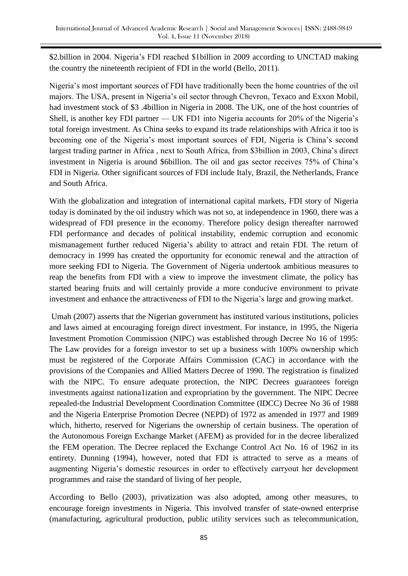\$2.billion in 2004. Nigeria's FDI reached \$1billion in 2009 according to UNCTAD making the country the nineteenth recipient of FDI in the world (Bello, 2011).

Nigeria"s most important sources of FDI have traditionally been the home countries of the oil majors. The USA, present in Nigeria's oil sector through Chevron, Texaco and Exxon Mobil, had investment stock of \$3 .4billion in Nigeria in 2008. The UK, one of the host countries of Shell, is another key FDI partner — UK FD1 into Nigeria accounts for 20% of the Nigeria's total foreign investment. As China seeks to expand its trade relationships with Africa it too is becoming one of the Nigeria's most important sources of FDI, Nigeria is China's second largest trading partner in Africa , next to South Africa, from \$3billion in 2003, China"s direct investment in Nigeria is around \$6billion. The oil and gas sector receives 75% of China"s FDI in Nigeria. Other significant sources of FDI include Italy, Brazil, the Netherlands, France and South Africa.

With the globalization and integration of international capital markets, FDI story of Nigeria today is dominated by the oil industry which was not so, at independence in 1960, there was a widespread of FDI presence in the economy. Therefore policy design thereafter narrowed FDI performance and decades of political instability, endemic corruption and economic mismanagement further reduced Nigeria"s ability to attract and retain FDI. The return of democracy in 1999 has created the opportunity for economic renewal and the attraction of more seeking FDI to Nigeria. The Government of Nigeria undertook ambitious measures to reap the benefits from FDI with a view to improve the investment climate, the policy has started bearing fruits and will certainly provide a more conducive environment to private investment and enhance the attractiveness of FDI to the Nigeria"s large and growing market.

Umah (2007) asserts that the Nigerian government has instituted various institutions, policies and laws aimed at encouraging foreign direct investment. For instance, in 1995, the Nigeria Investment Promotion Commission (NIPC) was established through Decree No 16 of 1995: The Law provides for a foreign investor to set up a business with 100% ownership which must be registered of the Corporate Affairs Commission (CAC) in accordance with the provisions of the Companies and Allied Matters Decree of 1990. The registration is finalized with the NIPC. To ensure adequate protection, the NIPC Decrees guarantees foreign investments against nationa1ization and expropriation by the government. The NIPC Decree repealed-the Industrial Development Coordination Committee (IDCC) Decree No 36 of 1988 and the Nigeria Enterprise Promotion Decree (NEPD) of 1972 as amended in 1977 and 1989 which, hitherto, reserved for Nigerians the ownership of certain business. The operation of the Autonomous Foreign Exchange Market (AFEM) as provided for in the decree liberalized the FEM operation. The Decree replaced the Exchange Control Act No. 16 of 1962 in its entirety. Dunning (1994), however, noted that FDI is attracted to serve as a means of augmenting Nigeria"s domestic resources in order to effectively carryout her development programmes and raise the standard of living of her people,

According to Bello (2003), privatization was also adopted, among other measures, to encourage foreign investments in Nigeria. This involved transfer of state-owned enterprise (manufacturing, agricultural production, public utility services such as telecommunication,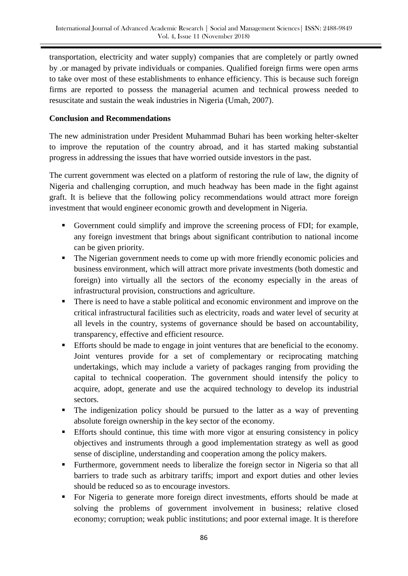transportation, electricity and water supply) companies that are completely or partly owned by .or managed by private individuals or companies. Qualified foreign firms were open arms to take over most of these establishments to enhance efficiency. This is because such foreign firms are reported to possess the managerial acumen and technical prowess needed to resuscitate and sustain the weak industries in Nigeria (Umah, 2007).

## **Conclusion and Recommendations**

The new administration under President Muhammad Buhari has been working helter-skelter to improve the reputation of the country abroad, and it has started making substantial progress in addressing the issues that have worried outside investors in the past.

The current government was elected on a platform of restoring the rule of law, the dignity of Nigeria and challenging corruption, and much headway has been made in the fight against graft. It is believe that the following policy recommendations would attract more foreign investment that would engineer economic growth and development in Nigeria.

- Government could simplify and improve the screening process of FDI; for example, any foreign investment that brings about significant contribution to national income can be given priority.
- The Nigerian government needs to come up with more friendly economic policies and business environment, which will attract more private investments (both domestic and foreign) into virtually all the sectors of the economy especially in the areas of infrastructural provision, constructions and agriculture.
- **There is need to have a stable political and economic environment and improve on the** critical infrastructural facilities such as electricity, roads and water level of security at all levels in the country, systems of governance should be based on accountability, transparency, effective and efficient resource.
- Efforts should be made to engage in joint ventures that are beneficial to the economy. Joint ventures provide for a set of complementary or reciprocating matching undertakings, which may include a variety of packages ranging from providing the capital to technical cooperation. The government should intensify the policy to acquire, adopt, generate and use the acquired technology to develop its industrial sectors.
- The indigenization policy should be pursued to the latter as a way of preventing absolute foreign ownership in the key sector of the economy.
- Efforts should continue, this time with more vigor at ensuring consistency in policy objectives and instruments through a good implementation strategy as well as good sense of discipline, understanding and cooperation among the policy makers.
- **Furthermore, government needs to liberalize the foreign sector in Nigeria so that all** barriers to trade such as arbitrary tariffs; import and export duties and other levies should be reduced so as to encourage investors.
- For Nigeria to generate more foreign direct investments, efforts should be made at solving the problems of government involvement in business; relative closed economy; corruption; weak public institutions; and poor external image. It is therefore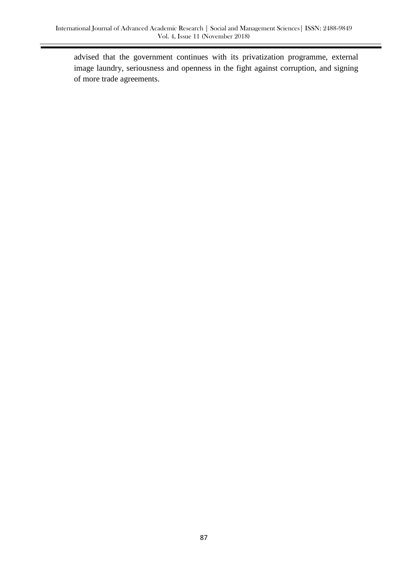advised that the government continues with its privatization programme, external image laundry, seriousness and openness in the fight against corruption, and signing of more trade agreements.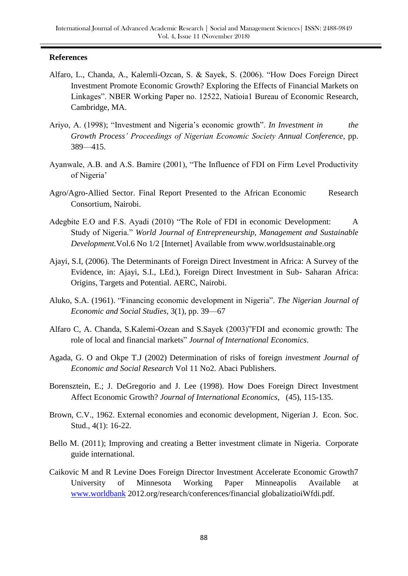#### **References**

- Alfaro, L., Chanda, A., Kalemli-Ozcan, S. & Sayek, S. (2006). "How Does Foreign Direct Investment Promote Economic Growth? Exploring the Effects of Financial Markets on Linkages". NBER Working Paper no. 12522, Natioia1 Bureau of Economic Research, Cambridge, MA.
- Ariyo, A. (1998); "Investment and Nigeria"s economic growth". *In Investment in the Growth Process' Proceedings of Nigerian Economic Society Annual Conference,* pp. 389—415.
- Ayanwale, A.B. and A.S. Bamire (2001), "The Influence of FDI on Firm Level Productivity of Nigeria'
- Agro/Agro-Allied Sector. Final Report Presented to the African Economic Research Consortium, Nairobi.
- Adegbite E.O and F.S. Ayadi (2010) "The Role of FDI in economic Development: A Study of Nigeria." *World Journal of Entrepreneurship, Management and Sustainable Development.*Vol.6 No 1/2 [Internet] Available from www.worldsustainable.org
- Ajayi, S.I, (2006). The Determinants of Foreign Direct Investment in Africa: A Survey of the Evidence, in: Ajayi, S.I., LEd.), Foreign Direct Investment in Sub- Saharan Africa: Origins, Targets and Potential. AERC, Nairobi.
- Aluko, S.A. (1961). "Financing economic development in Nigeria". *The Nigerian Journal of Economic and Social Studies,* 3(1), pp. 39—67
- Alfaro C, A. Chanda, S.Kalemi-Ozean and S.Sayek (2003)"FDI and economic growth: The role of local and financial markets" *Journal of International Economics*.
- Agada, G. O and Okpe T.J (2002) Determination of risks of foreign *investment Journal of Economic and Social Research* Vol 11 No2. Abaci Publishers.
- Borensztein, E.; J. DeGregorio and J. Lee (1998). How Does Foreign Direct Investment Affect Economic Growth? *Journal of International Economics*, (45), 115-135.
- Brown, C.V., 1962. External economies and economic development, Nigerian J. Econ. Soc. Stud., 4(1): 16-22.
- Bello M. (2011); Improving and creating a Better investment climate in Nigeria. Corporate guide international.
- Caikovic M and R Levine Does Foreign Director Investment Accelerate Economic Growth7 University of Minnesota Working Paper Minneapolis Available at [www.worldbank](http://www.worldbank/) 2012.org/research/conferences/financial globalizatioiWfdi.pdf.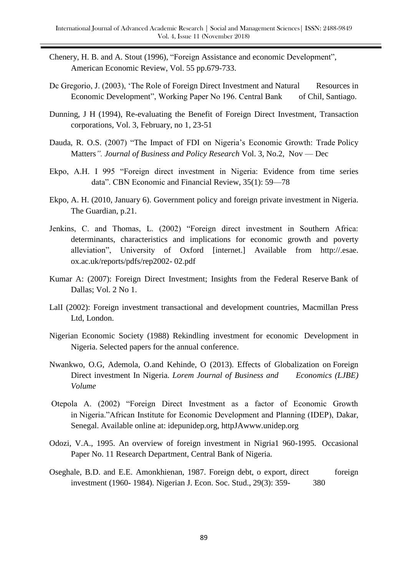- Chenery, H. B. and A. Stout (1996), "Foreign Assistance and economic Development", American Economic Review, Vol. 55 pp.679-733.
- Dc Gregorio, J. (2003), 'The Role of Foreign Direct Investment and Natural Resources in Economic Development", Working Paper No 196. Central Bank of Chil, Santiago.
- Dunning, J H (1994), Re-evaluating the Benefit of Foreign Direct Investment, Transaction corporations, Vol. 3, February, no 1, 23-51
- Dauda, R. O.S. (2007) "The Impact of FDI on Nigeria"s Economic Growth: Trade Policy Matters*". Journal of Business and Policy Research* Vol. 3, No.2, Nov — Dec
- Ekpo, A.H. I 995 "Foreign direct investment in Nigeria: Evidence from time series data". CBN Economic and Financial Review, 35(1): 59—78
- Ekpo, A. H. (2010, January 6). Government policy and foreign private investment in Nigeria. The Guardian, p.21.
- Jenkins, C. and Thomas, L. (2002) "Foreign direct investment in Southern Africa: determinants, characteristics and implications for economic growth and poverty alleviation", University of Oxford [internet.] Available from http://.esae. ox.ac.uk/reports/pdfs/rep2002- 02.pdf
- Kumar A: (2007): Foreign Direct Investment; Insights from the Federal Reserve Bank of Dallas; Vol. 2 No 1.
- LalI (2002): Foreign investment transactional and development countries, Macmillan Press Ltd, London.
- Nigerian Economic Society (1988) Rekindling investment for economic Development in Nigeria. Selected papers for the annual conference.
- Nwankwo, O.G, Ademola, O.and Kehinde, O (2013). Effects of Globalization on Foreign Direct investment In Nigeria. *Lorem Journal of Business and Economics (LJBE) Volume*
- Otepola A. (2002) "Foreign Direct Investment as a factor of Economic Growth in Nigeria."African Institute for Economic Development and Planning (IDEP), Dakar, Senegal. Available online at: idepunidep.org, httpJAwww.unidep.org
- Odozi, V.A., 1995. An overview of foreign investment in Nigria1 960-1995. Occasional Paper No. 11 Research Department, Central Bank of Nigeria.
- Oseghale, B.D. and E.E. Amonkhienan, 1987. Foreign debt, o export, direct foreign investment (1960- 1984). Nigerian J. Econ. Soc. Stud., 29(3): 359- 380